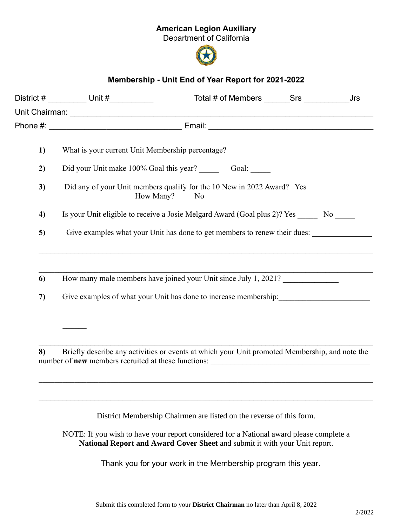## American Legion Auxiliary

Department of California



## Membership - Unit End of Year Report for 2021-2022

|    | District # __________ Unit #___________                                                            | Total # of Members _______Srs ___________                                                                                                                    |  | Jrs |  |
|----|----------------------------------------------------------------------------------------------------|--------------------------------------------------------------------------------------------------------------------------------------------------------------|--|-----|--|
|    |                                                                                                    |                                                                                                                                                              |  |     |  |
|    |                                                                                                    |                                                                                                                                                              |  |     |  |
| 1) | What is your current Unit Membership percentage?                                                   |                                                                                                                                                              |  |     |  |
| 2) |                                                                                                    |                                                                                                                                                              |  |     |  |
| 3) | Did any of your Unit members qualify for the 10 New in 2022 Award? Yes<br>How Many? _____ No _____ |                                                                                                                                                              |  |     |  |
| 4) | Is your Unit eligible to receive a Josie Melgard Award (Goal plus 2)? Yes ______ No _____          |                                                                                                                                                              |  |     |  |
| 5) | Give examples what your Unit has done to get members to renew their dues:                          |                                                                                                                                                              |  |     |  |
| 6  |                                                                                                    | How many male members have joined your Unit since July 1, 2021?                                                                                              |  |     |  |
| 7) | Give examples of what your Unit has done to increase membership:                                   |                                                                                                                                                              |  |     |  |
|    |                                                                                                    |                                                                                                                                                              |  |     |  |
| 8) |                                                                                                    | Briefly describe any activities or events at which your Unit promoted Membership, and note the<br>number of <b>new</b> members recruited at these functions: |  |     |  |
|    |                                                                                                    |                                                                                                                                                              |  |     |  |
|    |                                                                                                    |                                                                                                                                                              |  |     |  |
|    |                                                                                                    |                                                                                                                                                              |  |     |  |

District Membership Chairmen are listed on the reverse of this form.

NOTE: If you wish to have your report considered for a National award please complete a National Report and Award Cover Sheet and submit it with your Unit report.

Thank you for your work in the Membership program this year.